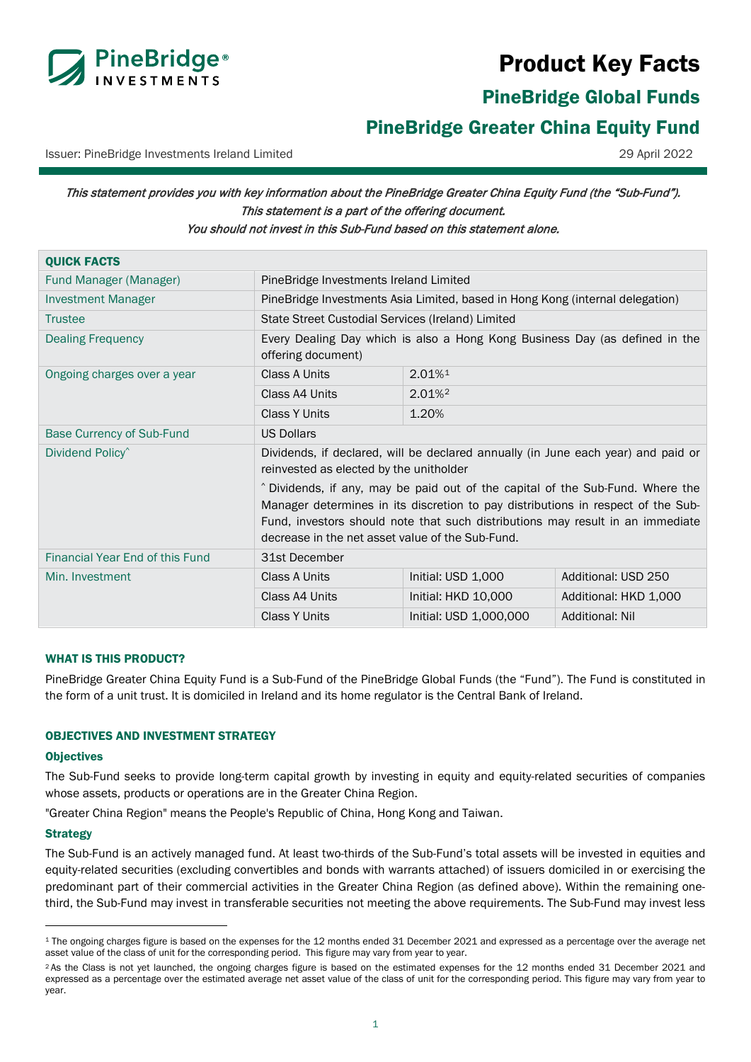

# Product Key Facts

PineBridge Global Funds

## <span id="page-0-0"></span>PineBridge Greater China Equity Fund

Issuer: PineBridge Investments Ireland Limited 29 April 2022

## This statement provides you with key information about the PineBridge Greater China Equity Fund (the "Sub-Fund"). This statement is a part of the offering document. You should not invest in this Sub-Fund based on this statement alone.

| <b>QUICK FACTS</b>               |                                                                                                                                                                                                                                                                                                          |                        |                        |
|----------------------------------|----------------------------------------------------------------------------------------------------------------------------------------------------------------------------------------------------------------------------------------------------------------------------------------------------------|------------------------|------------------------|
| Fund Manager (Manager)           | PineBridge Investments Ireland Limited                                                                                                                                                                                                                                                                   |                        |                        |
| <b>Investment Manager</b>        | PineBridge Investments Asia Limited, based in Hong Kong (internal delegation)                                                                                                                                                                                                                            |                        |                        |
| <b>Trustee</b>                   | State Street Custodial Services (Ireland) Limited                                                                                                                                                                                                                                                        |                        |                        |
| <b>Dealing Frequency</b>         | Every Dealing Day which is also a Hong Kong Business Day (as defined in the<br>offering document)                                                                                                                                                                                                        |                        |                        |
| Ongoing charges over a year      | Class A Units                                                                                                                                                                                                                                                                                            | 2.01%1                 |                        |
|                                  | Class A4 Units                                                                                                                                                                                                                                                                                           | $2.01\%$ <sup>2</sup>  |                        |
|                                  | <b>Class Y Units</b>                                                                                                                                                                                                                                                                                     | 1.20%                  |                        |
| <b>Base Currency of Sub-Fund</b> | <b>US Dollars</b>                                                                                                                                                                                                                                                                                        |                        |                        |
| Dividend Policy <sup>^</sup>     | Dividends, if declared, will be declared annually (in June each year) and paid or<br>reinvested as elected by the unitholder                                                                                                                                                                             |                        |                        |
|                                  | ^ Dividends, if any, may be paid out of the capital of the Sub-Fund. Where the<br>Manager determines in its discretion to pay distributions in respect of the Sub-<br>Fund, investors should note that such distributions may result in an immediate<br>decrease in the net asset value of the Sub-Fund. |                        |                        |
| Financial Year End of this Fund  | 31st December                                                                                                                                                                                                                                                                                            |                        |                        |
| Min. Investment                  | Class A Units                                                                                                                                                                                                                                                                                            | Initial: USD 1,000     | Additional: USD 250    |
|                                  | Class A4 Units                                                                                                                                                                                                                                                                                           | Initial: HKD 10,000    | Additional: HKD 1,000  |
|                                  | <b>Class Y Units</b>                                                                                                                                                                                                                                                                                     | Initial: USD 1,000,000 | <b>Additional: Nil</b> |

## WHAT IS THIS PRODUCT?

PineBridge Greater China Equity Fund is a Sub-Fund of the PineBridge Global Funds (the "Fund"). The Fund is constituted in the form of a unit trust. It is domiciled in Ireland and its home regulator is the Central Bank of Ireland.

## OBJECTIVES AND INVESTMENT STRATEGY

#### **Objectives**

The Sub-Fund seeks to provide long-term capital growth by investing in equity and equity-related securities of companies whose assets, products or operations are in the Greater China Region.

"Greater China Region" means the People's Republic of China, Hong Kong and Taiwan.

#### **Strategy**

The Sub-Fund is an actively managed fund. At least two-thirds of the Sub-Fund's total assets will be invested in equities and equity-related securities (excluding convertibles and bonds with warrants attached) of issuers domiciled in or exercising the predominant part of their commercial activities in the Greater China Region (as defined above). Within the remaining onethird, the Sub-Fund may invest in transferable securities not meeting the above requirements. The Sub-Fund may invest less

<span id="page-0-1"></span><sup>&</sup>lt;sup>1</sup> The ongoing charges figure is based on the expenses for the 12 months ended 31 December 2021 and expressed as a percentage over the average net asset value of the class of unit for the corresponding period. This figure may vary from year to year.

<span id="page-0-2"></span><sup>&</sup>lt;sup>2</sup> As the Class is not yet launched, the ongoing charges figure is based on the estimated expenses for the 12 months ended 31 December 2021 and expressed as a percentage over the estimated average net asset value of the class of unit for the corresponding period. This figure may vary from year to year.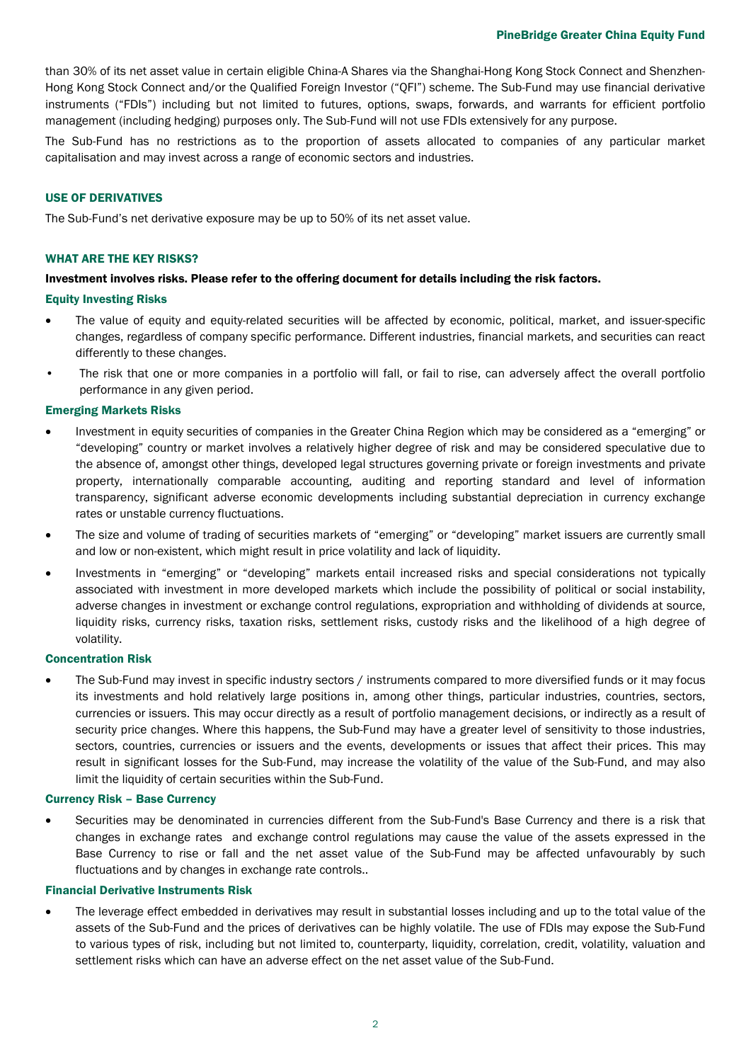than 30% of its net asset value in certain eligible China-A Shares via the Shanghai-Hong Kong Stock Connect and Shenzhen-Hong Kong Stock Connect and/or the Qualified Foreign Investor ("QFI") scheme. The Sub-Fund may use financial derivative instruments ("FDIs") including but not limited to futures, options, swaps, forwards, and warrants for efficient portfolio management (including hedging) purposes only. The Sub-Fund will not use FDIs extensively for any purpose.

The Sub-Fund has no restrictions as to the proportion of assets allocated to companies of any particular market capitalisation and may invest across a range of economic sectors and industries.

#### USE OF DERIVATIVES

The Sub-Fund's net derivative exposure may be up to 50% of its net asset value.

#### WHAT ARE THE KEY RISKS?

#### Investment involves risks. Please refer to the offering document for details including the risk factors.

#### Equity Investing Risks

- The value of equity and equity-related securities will be affected by economic, political, market, and issuer-specific changes, regardless of company specific performance. Different industries, financial markets, and securities can react differently to these changes.
- The risk that one or more companies in a portfolio will fall, or fail to rise, can adversely affect the overall portfolio performance in any given period.

## Emerging Markets Risks

- Investment in equity securities of companies in the Greater China Region which may be considered as a "emerging" or "developing" country or market involves a relatively higher degree of risk and may be considered speculative due to the absence of, amongst other things, developed legal structures governing private or foreign investments and private property, internationally comparable accounting, auditing and reporting standard and level of information transparency, significant adverse economic developments including substantial depreciation in currency exchange rates or unstable currency fluctuations.
- The size and volume of trading of securities markets of "emerging" or "developing" market issuers are currently small and low or non-existent, which might result in price volatility and lack of liquidity.
- Investments in "emerging" or "developing" markets entail increased risks and special considerations not typically associated with investment in more developed markets which include the possibility of political or social instability, adverse changes in investment or exchange control regulations, expropriation and withholding of dividends at source, liquidity risks, currency risks, taxation risks, settlement risks, custody risks and the likelihood of a high degree of volatility.

#### Concentration Risk

The Sub-Fund may invest in specific industry sectors / instruments compared to more diversified funds or it may focus its investments and hold relatively large positions in, among other things, particular industries, countries, sectors, currencies or issuers. This may occur directly as a result of portfolio management decisions, or indirectly as a result of security price changes. Where this happens, the Sub-Fund may have a greater level of sensitivity to those industries, sectors, countries, currencies or issuers and the events, developments or issues that affect their prices. This may result in significant losses for the Sub-Fund, may increase the volatility of the value of the Sub-Fund, and may also limit the liquidity of certain securities within the Sub-Fund.

#### Currency Risk – Base Currency

• Securities may be denominated in currencies different from the Sub-Fund's Base Currency and there is a risk that changes in exchange rates and exchange control regulations may cause the value of the assets expressed in the Base Currency to rise or fall and the net asset value of the Sub-Fund may be affected unfavourably by such fluctuations and by changes in exchange rate controls..

#### Financial Derivative Instruments Risk

• The leverage effect embedded in derivatives may result in substantial losses including and up to the total value of the assets of the Sub-Fund and the prices of derivatives can be highly volatile. The use of FDIs may expose the Sub-Fund to various types of risk, including but not limited to, counterparty, liquidity, correlation, credit, volatility, valuation and settlement risks which can have an adverse effect on the net asset value of the Sub-Fund.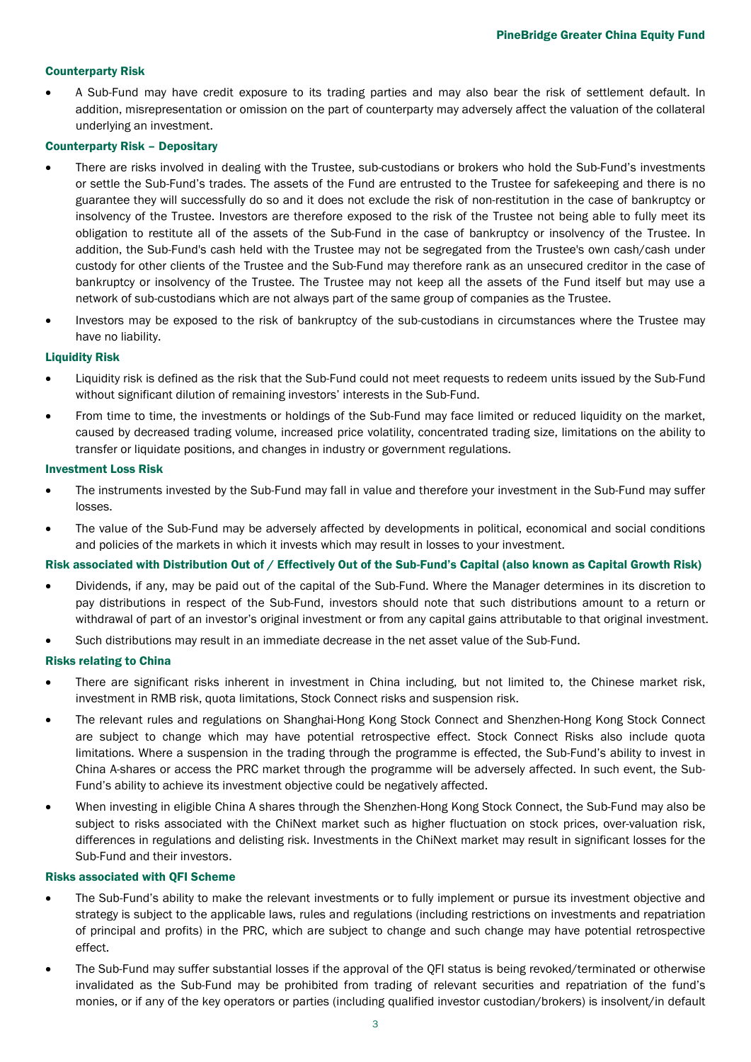## Counterparty Risk

• A Sub-Fund may have credit exposure to its trading parties and may also bear the risk of settlement default. In addition, misrepresentation or omission on the part of counterparty may adversely affect the valuation of the collateral underlying an investment.

#### Counterparty Risk – Depositary

- There are risks involved in dealing with the Trustee, sub-custodians or brokers who hold the Sub-Fund's investments or settle the Sub-Fund's trades. The assets of the Fund are entrusted to the Trustee for safekeeping and there is no guarantee they will successfully do so and it does not exclude the risk of non-restitution in the case of bankruptcy or insolvency of the Trustee. Investors are therefore exposed to the risk of the Trustee not being able to fully meet its obligation to restitute all of the assets of the Sub-Fund in the case of bankruptcy or insolvency of the Trustee. In addition, the Sub-Fund's cash held with the Trustee may not be segregated from the Trustee's own cash/cash under custody for other clients of the Trustee and the Sub-Fund may therefore rank as an unsecured creditor in the case of bankruptcy or insolvency of the Trustee. The Trustee may not keep all the assets of the Fund itself but may use a network of sub-custodians which are not always part of the same group of companies as the Trustee.
- Investors may be exposed to the risk of bankruptcy of the sub-custodians in circumstances where the Trustee may have no liability.

#### Liquidity Risk

- Liquidity risk is defined as the risk that the Sub-Fund could not meet requests to redeem units issued by the Sub-Fund without significant dilution of remaining investors' interests in the Sub-Fund.
- From time to time, the investments or holdings of the Sub-Fund may face limited or reduced liquidity on the market, caused by decreased trading volume, increased price volatility, concentrated trading size, limitations on the ability to transfer or liquidate positions, and changes in industry or government regulations.

#### Investment Loss Risk

- The instruments invested by the Sub-Fund may fall in value and therefore your investment in the Sub-Fund may suffer losses.
- The value of the Sub-Fund may be adversely affected by developments in political, economical and social conditions and policies of the markets in which it invests which may result in losses to your investment.

#### Risk associated with Distribution Out of / Effectively Out of the Sub-Fund's Capital (also known as Capital Growth Risk)

- Dividends, if any, may be paid out of the capital of the Sub-Fund. Where the Manager determines in its discretion to pay distributions in respect of the Sub-Fund, investors should note that such distributions amount to a return or withdrawal of part of an investor's original investment or from any capital gains attributable to that original investment.
- Such distributions may result in an immediate decrease in the net asset value of the Sub-Fund.

#### Risks relating to China

- There are significant risks inherent in investment in China including, but not limited to, the Chinese market risk, investment in RMB risk, quota limitations, Stock Connect risks and suspension risk.
- The relevant rules and regulations on Shanghai-Hong Kong Stock Connect and Shenzhen-Hong Kong Stock Connect are subject to change which may have potential retrospective effect. Stock Connect Risks also include quota limitations. Where a suspension in the trading through the programme is effected, the Sub-Fund's ability to invest in China A-shares or access the PRC market through the programme will be adversely affected. In such event, the Sub-Fund's ability to achieve its investment objective could be negatively affected.
- When investing in eligible China A shares through the Shenzhen-Hong Kong Stock Connect, the Sub-Fund may also be subject to risks associated with the ChiNext market such as higher fluctuation on stock prices, over-valuation risk, differences in regulations and delisting risk. Investments in the ChiNext market may result in significant losses for the Sub-Fund and their investors.

#### Risks associated with QFI Scheme

- The Sub-Fund's ability to make the relevant investments or to fully implement or pursue its investment objective and strategy is subject to the applicable laws, rules and regulations (including restrictions on investments and repatriation of principal and profits) in the PRC, which are subject to change and such change may have potential retrospective effect.
- The Sub-Fund may suffer substantial losses if the approval of the QFI status is being revoked/terminated or otherwise invalidated as the Sub-Fund may be prohibited from trading of relevant securities and repatriation of the fund's monies, or if any of the key operators or parties (including qualified investor custodian/brokers) is insolvent/in default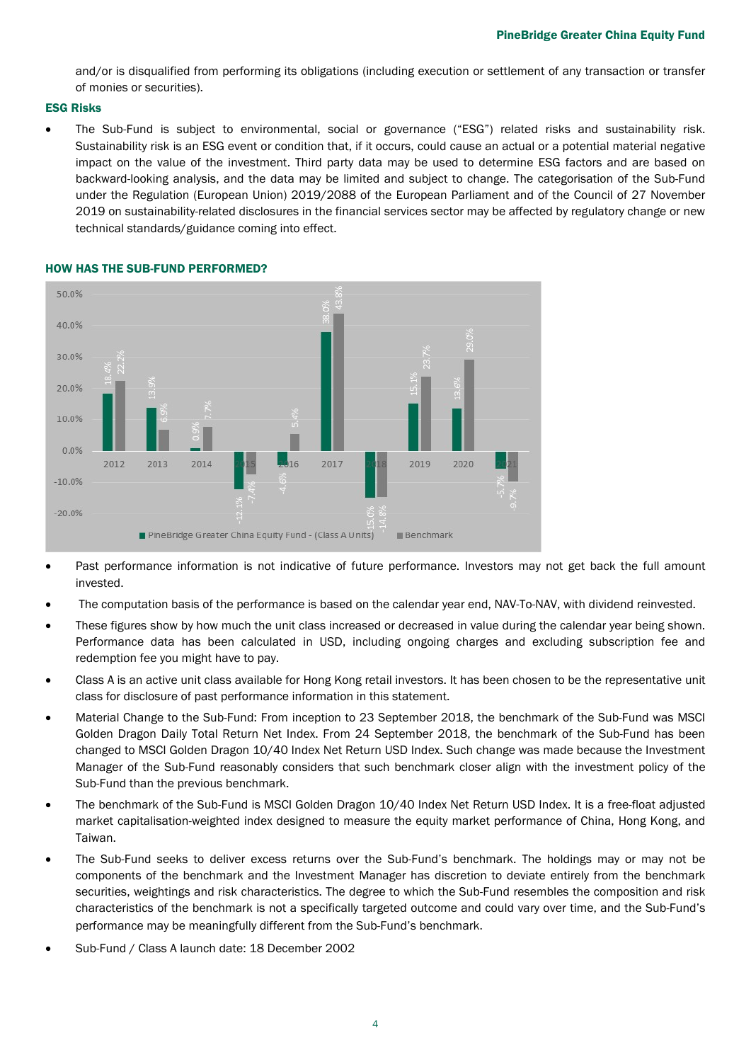and/or is disqualified from performing its obligations (including execution or settlement of any transaction or transfer of monies or securities).

## ESG Risks

• The Sub-Fund is subject to environmental, social or governance ("ESG") related risks and sustainability risk. Sustainability risk is an ESG event or condition that, if it occurs, could cause an actual or a potential material negative impact on the value of the investment. Third party data may be used to determine ESG factors and are based on backward-looking analysis, and the data may be limited and subject to change. The categorisation of the Sub-Fund under the Regulation (European Union) 2019/2088 of the European Parliament and of the Council of 27 November 2019 on sustainability-related disclosures in the financial services sector may be affected by regulatory change or new technical standards/guidance coming into effect.



## HOW HAS THE SUB-FUND PERFORMED?

- Past performance information is not indicative of future performance. Investors may not get back the full amount invested.
- The computation basis of the performance is based on the calendar year end, NAV-To-NAV, with dividend reinvested.
- These figures show by how much the unit class increased or decreased in value during the calendar year being shown. Performance data has been calculated in USD, including ongoing charges and excluding subscription fee and redemption fee you might have to pay.
- Class A is an active unit class available for Hong Kong retail investors. It has been chosen to be the representative unit class for disclosure of past performance information in this statement.
- Material Change to the Sub-Fund: From inception to 23 September 2018, the benchmark of the Sub-Fund was MSCI Golden Dragon Daily Total Return Net Index. From 24 September 2018, the benchmark of the Sub-Fund has been changed to MSCI Golden Dragon 10/40 Index Net Return USD Index. Such change was made because the Investment Manager of the Sub-Fund reasonably considers that such benchmark closer align with the investment policy of the Sub-Fund than the previous benchmark.
- The benchmark of the Sub-Fund is MSCI Golden Dragon 10/40 Index Net Return USD Index. It is a free-float adjusted market capitalisation-weighted index designed to measure the equity market performance of China, Hong Kong, and Taiwan.
- The Sub-Fund seeks to deliver excess returns over the Sub-Fund's benchmark. The holdings may or may not be components of the benchmark and the Investment Manager has discretion to deviate entirely from the benchmark securities, weightings and risk characteristics. The degree to which the Sub-Fund resembles the composition and risk characteristics of the benchmark is not a specifically targeted outcome and could vary over time, and the Sub-Fund's performance may be meaningfully different from the Sub-Fund's benchmark.
- Sub-Fund / Class A launch date: 18 December 2002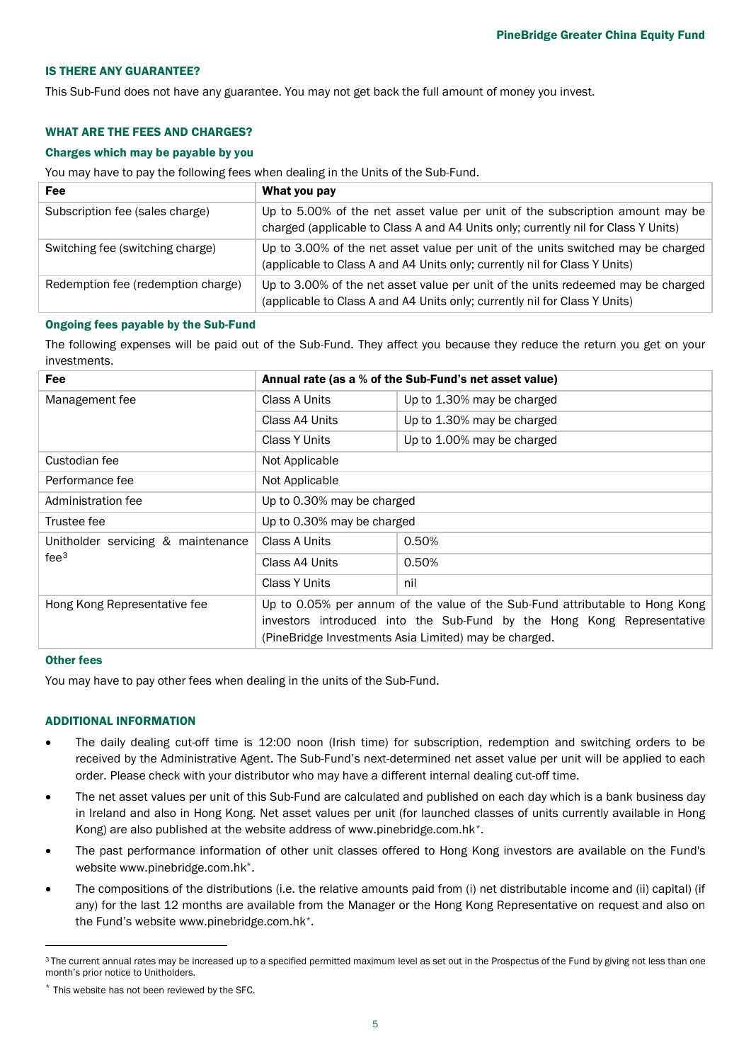#### IS THERE ANY GUARANTEE?

This Sub-Fund does not have any guarantee. You may not get back the full amount of money you invest.

## WHAT ARE THE FEES AND CHARGES?

## Charges which may be payable by you

You may have to pay the following fees when dealing in the Units of the Sub-Fund.

| <b>Fee</b>                         | What you pay                                                                                                                                                        |
|------------------------------------|---------------------------------------------------------------------------------------------------------------------------------------------------------------------|
| Subscription fee (sales charge)    | Up to 5.00% of the net asset value per unit of the subscription amount may be<br>charged (applicable to Class A and A4 Units only; currently nil for Class Y Units) |
| Switching fee (switching charge)   | Up to 3.00% of the net asset value per unit of the units switched may be charged<br>(applicable to Class A and A4 Units only; currently nil for Class Y Units)      |
| Redemption fee (redemption charge) | Up to 3.00% of the net asset value per unit of the units redeemed may be charged<br>(applicable to Class A and A4 Units only; currently nil for Class Y Units)      |

#### Ongoing fees payable by the Sub-Fund

The following expenses will be paid out of the Sub-Fund. They affect you because they reduce the return you get on your investments.

| Fee                                                    | Annual rate (as a % of the Sub-Fund's net asset value)                                                                                                                                                          |                            |  |
|--------------------------------------------------------|-----------------------------------------------------------------------------------------------------------------------------------------------------------------------------------------------------------------|----------------------------|--|
| Management fee                                         | Class A Units                                                                                                                                                                                                   | Up to 1.30% may be charged |  |
|                                                        | Class A4 Units                                                                                                                                                                                                  | Up to 1.30% may be charged |  |
|                                                        | Class Y Units                                                                                                                                                                                                   | Up to 1.00% may be charged |  |
| Custodian fee                                          | Not Applicable                                                                                                                                                                                                  |                            |  |
| Performance fee                                        | Not Applicable                                                                                                                                                                                                  |                            |  |
| Administration fee                                     | Up to 0.30% may be charged                                                                                                                                                                                      |                            |  |
| Trustee fee                                            | Up to 0.30% may be charged                                                                                                                                                                                      |                            |  |
| Unitholder servicing & maintenance<br>fee <sup>3</sup> | Class A Units                                                                                                                                                                                                   | 0.50%                      |  |
|                                                        | Class A4 Units                                                                                                                                                                                                  | 0.50%                      |  |
|                                                        | Class Y Units                                                                                                                                                                                                   | nil                        |  |
| Hong Kong Representative fee                           | Up to 0.05% per annum of the value of the Sub-Fund attributable to Hong Kong<br>investors introduced into the Sub-Fund by the Hong Kong Representative<br>(PineBridge Investments Asia Limited) may be charged. |                            |  |

#### Other fees

You may have to pay other fees when dealing in the units of the Sub-Fund.

#### ADDITIONAL INFORMATION

- The daily dealing cut-off time is 12:00 noon (Irish time) for subscription, redemption and switching orders to be received by the Administrative Agent. The Sub-Fund's next-determined net asset value per unit will be applied to each order. Please check with your distributor who may have a different internal dealing cut-off time.
- The net asset values per unit of this Sub-Fund are calculated and published on each day which is a bank business day in Ireland and also in Hong Kong. Net asset values per unit (for launched classes of units currently available in Hong Kong) are also published at the website address of www.pinebridge.com.hk[\\*](#page-4-1).
- The past performance information of other unit classes offered to Hong Kong investors are available on the Fund's website www.pinebridge.com.hk\*.
- The compositions of the distributions (i.e. the relative amounts paid from (i) net distributable income and (ii) capital) (if any) for the last 12 months are available from the Manager or the Hong Kong Representative on request and also on the Fund's website www.pinebridge.com.hk\*.

<span id="page-4-0"></span><sup>&</sup>lt;sup>3</sup> The current annual rates may be increased up to a specified permitted maximum level as set out in the Prospectus of the Fund by giving not less than one month's prior notice to Unitholders.

<span id="page-4-1"></span><sup>\*</sup> This website has not been reviewed by the SFC.